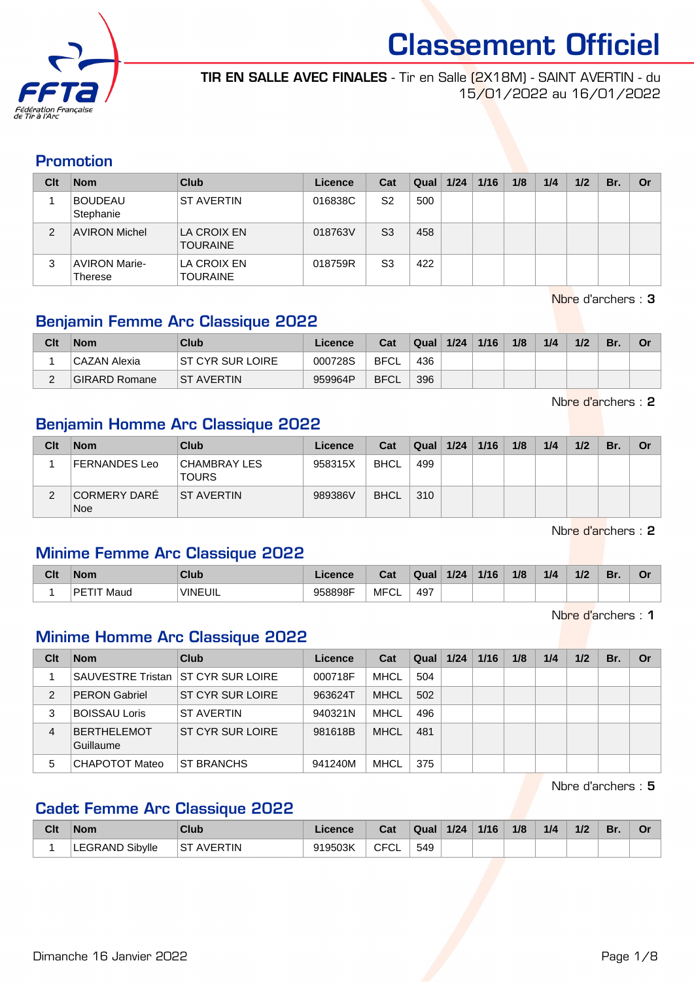

TIR EN SALLE AVEC FINALES - Tir en Salle (2X18M) - SAINT AVERTIN - du 15/01/2022 au 16/01/2022

#### Promotion

| Clt | <b>Nom</b>                             | <b>Club</b>                    | Licence | Cat            | Qual | 1/24 | 1/16 | 1/8 | 1/4 | 1/2 | Br. | Or |
|-----|----------------------------------------|--------------------------------|---------|----------------|------|------|------|-----|-----|-----|-----|----|
|     | <b>BOUDEAU</b><br>Stephanie            | <b>ST AVERTIN</b>              | 016838C | S <sub>2</sub> | 500  |      |      |     |     |     |     |    |
| 2   | <b>AVIRON Michel</b>                   | LA CROIX EN<br><b>TOURAINE</b> | 018763V | S <sub>3</sub> | 458  |      |      |     |     |     |     |    |
| 3   | <b>AVIRON Marie-</b><br><b>Therese</b> | LA CROIX EN<br><b>TOURAINE</b> | 018759R | S <sub>3</sub> | 422  |      |      |     |     |     |     |    |

Nbre d'archers : 3

#### Benjamin Femme Arc Classique 2022

| Clt | <b>Nom</b>           | Club               | Licence | Cat         | <b>Qual</b> | 1/24 | 1/16 | 1/8 | 1/4 | 1/2 | Br. |  |
|-----|----------------------|--------------------|---------|-------------|-------------|------|------|-----|-----|-----|-----|--|
|     | CAZAN Alexia         | IST CYR SUR LOIRE  | 000728S | <b>BFCL</b> | 436         |      |      |     |     |     |     |  |
| ⌒   | <b>GIRARD Romane</b> | <b>IST AVERTIN</b> | 959964P | <b>BFCL</b> | 396         |      |      |     |     |     |     |  |

Nbre d'archers : 2

#### Benjamin Homme Arc Classique 2022

| Clt | <b>Nom</b>          | Club                                | Licence | Cat         | Qual   1/24 | 1/16 | 1/8 | 1/4 | 1/2 | Br. | Or |
|-----|---------------------|-------------------------------------|---------|-------------|-------------|------|-----|-----|-----|-----|----|
|     | FERNANDES Leo       | <b>CHAMBRAY LES</b><br><b>TOURS</b> | 958315X | <b>BHCL</b> | 499         |      |     |     |     |     |    |
|     | CORMERY DARÉ<br>Noe | <b>ST AVERTIN</b>                   | 989386V | <b>BHCL</b> | 310         |      |     |     |     |     |    |

Nbre d'archers : 2

#### Minime Femme Arc Classique 2022

| Clt | Nom                  | Club           | icence  | Cat           | Qual          | 1/24 | 1/16 | 1/8 | 1/4 | 1/2 | Br. | n. |
|-----|----------------------|----------------|---------|---------------|---------------|------|------|-----|-----|-----|-----|----|
|     | <b>PETIT</b><br>Maud | <b>VINEUIL</b> | 958898F | MEC.<br>⊤ ∪ ∟ | 497<br>$\sim$ |      |      |     |     |     |     |    |

Nbre d'archers : 1

#### Minime Homme Arc Classique 2022

| Clt | <b>Nom</b>               | Club                               | Licence | Cat         | Qual | 1/24 | 1/16 | 1/8 | 1/4 | 1/2 | Br. | Or |
|-----|--------------------------|------------------------------------|---------|-------------|------|------|------|-----|-----|-----|-----|----|
|     |                          | SAUVESTRE Tristan ST CYR SUR LOIRE | 000718F | <b>MHCL</b> | 504  |      |      |     |     |     |     |    |
| 2   | <b>PERON Gabriel</b>     | IST CYR SUR LOIRE                  | 963624T | <b>MHCL</b> | 502  |      |      |     |     |     |     |    |
| 3   | BOISSAU Loris            | <b>ST AVERTIN</b>                  | 940321N | <b>MHCL</b> | 496  |      |      |     |     |     |     |    |
| 4   | BERTHELEMOT<br>Guillaume | IST CYR SUR LOIRE                  | 981618B | <b>MHCL</b> | 481  |      |      |     |     |     |     |    |
| 5   | CHAPOTOT Mateo           | <b>ST BRANCHS</b>                  | 941240M | <b>MHCL</b> | 375  |      |      |     |     |     |     |    |

Nbre d'archers : 5

#### Cadet Femme Arc Classique 2022

| Clt | <b>Nom</b>             | Club              | Licence. | Cat                | Qual | 1/24 | 1/16 | 1/8 | 1/4 | 1/2 | Br. | Οr |
|-----|------------------------|-------------------|----------|--------------------|------|------|------|-----|-----|-----|-----|----|
|     | <b>LEGRAND Sibylle</b> | <b>ST AVERTIN</b> | 919503K  | <b>CFCI</b><br>∹∪∟ | 549  |      |      |     |     |     |     |    |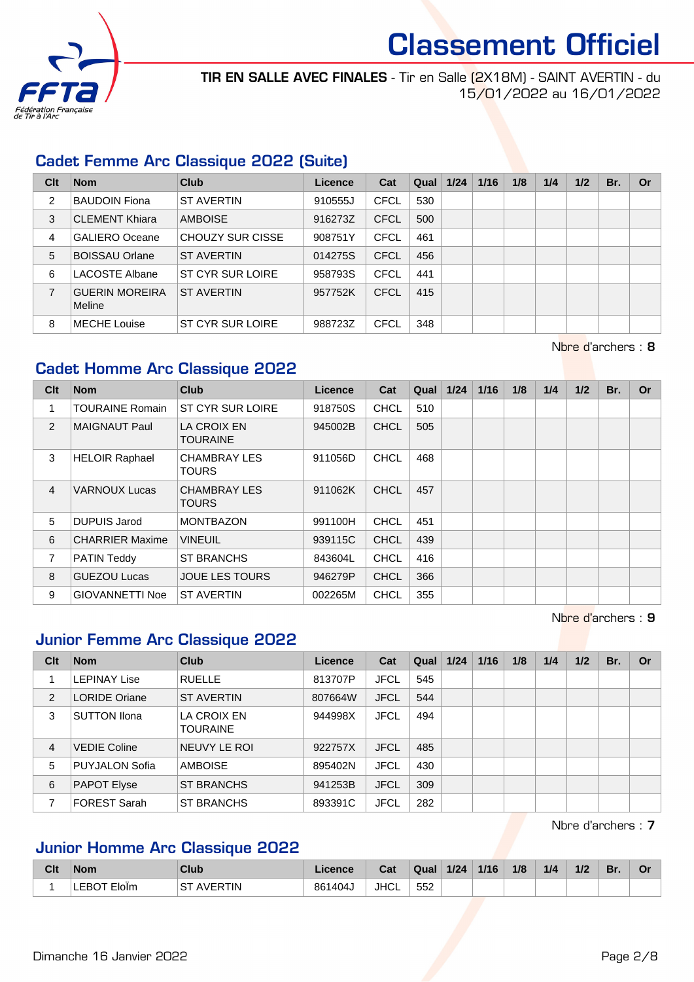

TIR EN SALLE AVEC FINALES - Tir en Salle (2X18M) - SAINT AVERTIN - du 15/01/2022 au 16/01/2022

#### Cadet Femme Arc Classique 2022 (Suite)

| Clt            | <b>Nom</b>                      | Club              | Licence | Cat         | Qual | 1/24 | 1/16 | 1/8 | 1/4 | 1/2 | Br. | <b>Or</b> |
|----------------|---------------------------------|-------------------|---------|-------------|------|------|------|-----|-----|-----|-----|-----------|
| $\overline{c}$ | <b>BAUDOIN Fiona</b>            | <b>ST AVERTIN</b> | 910555J | <b>CFCL</b> | 530  |      |      |     |     |     |     |           |
| 3              | <b>CLEMENT Khiara</b>           | <b>AMBOISE</b>    | 916273Z | <b>CFCL</b> | 500  |      |      |     |     |     |     |           |
| 4              | <b>GALIERO Oceane</b>           | CHOUZY SUR CISSE  | 908751Y | <b>CFCL</b> | 461  |      |      |     |     |     |     |           |
| 5              | <b>BOISSAU Orlane</b>           | <b>ST AVERTIN</b> | 014275S | <b>CFCL</b> | 456  |      |      |     |     |     |     |           |
| 6              | LACOSTE Albane                  | ST CYR SUR LOIRE  | 958793S | <b>CFCL</b> | 441  |      |      |     |     |     |     |           |
| $\overline{7}$ | <b>GUERIN MOREIRA</b><br>Meline | <b>ST AVERTIN</b> | 957752K | <b>CFCL</b> | 415  |      |      |     |     |     |     |           |
| 8              | <b>MECHE Louise</b>             | ST CYR SUR LOIRE  | 988723Z | <b>CFCL</b> | 348  |      |      |     |     |     |     |           |

Nbre d'archers : 8

#### Cadet Homme Arc Classique 2022

| Clt            | <b>Nom</b>             | Club                                | <b>Licence</b> | Cat         | Qual | 1/24 | 1/16 | 1/8 | 1/4 | 1/2 | Br. | <b>Or</b> |
|----------------|------------------------|-------------------------------------|----------------|-------------|------|------|------|-----|-----|-----|-----|-----------|
| 1              | <b>TOURAINE Romain</b> | ST CYR SUR LOIRE                    | 918750S        | <b>CHCL</b> | 510  |      |      |     |     |     |     |           |
| 2              | <b>MAIGNAUT Paul</b>   | LA CROIX EN<br><b>TOURAINE</b>      | 945002B        | <b>CHCL</b> | 505  |      |      |     |     |     |     |           |
| 3              | <b>HELOIR Raphael</b>  | <b>CHAMBRAY LES</b><br><b>TOURS</b> | 911056D        | <b>CHCL</b> | 468  |      |      |     |     |     |     |           |
| $\overline{4}$ | <b>VARNOUX Lucas</b>   | <b>CHAMBRAY LES</b><br><b>TOURS</b> | 911062K        | <b>CHCL</b> | 457  |      |      |     |     |     |     |           |
| 5              | <b>DUPUIS Jarod</b>    | <b>MONTBAZON</b>                    | 991100H        | <b>CHCL</b> | 451  |      |      |     |     |     |     |           |
| 6              | <b>CHARRIER Maxime</b> | <b>VINEUIL</b>                      | 939115C        | <b>CHCL</b> | 439  |      |      |     |     |     |     |           |
| 7              | <b>PATIN Teddy</b>     | <b>ST BRANCHS</b>                   | 843604L        | <b>CHCL</b> | 416  |      |      |     |     |     |     |           |
| 8              | <b>GUEZOU Lucas</b>    | <b>JOUE LES TOURS</b>               | 946279P        | <b>CHCL</b> | 366  |      |      |     |     |     |     |           |
| 9              | <b>GIOVANNETTI Noe</b> | <b>ST AVERTIN</b>                   | 002265M        | <b>CHCL</b> | 355  |      |      |     |     |     |     |           |

Nbre d'archers : 9

#### Junior Femme Arc Classique 2022

| Clt            | <b>Nom</b>            | Club                           | Licence | Cat         | Qual | 1/24 | 1/16 | 1/8 | 1/4 | 1/2 | Br. | Or |
|----------------|-----------------------|--------------------------------|---------|-------------|------|------|------|-----|-----|-----|-----|----|
|                | <b>LEPINAY Lise</b>   | <b>RUELLE</b>                  | 813707P | <b>JFCL</b> | 545  |      |      |     |     |     |     |    |
| 2              | <b>LORIDE Oriane</b>  | <b>ST AVERTIN</b>              | 807664W | <b>JFCL</b> | 544  |      |      |     |     |     |     |    |
| 3              | <b>SUTTON Ilona</b>   | LA CROIX EN<br><b>TOURAINE</b> | 944998X | <b>JFCL</b> | 494  |      |      |     |     |     |     |    |
| $\overline{4}$ | <b>VEDIE Coline</b>   | NEUVY LE ROI                   | 922757X | <b>JFCL</b> | 485  |      |      |     |     |     |     |    |
| 5              | <b>PUYJALON Sofia</b> | <b>AMBOISE</b>                 | 895402N | <b>JFCL</b> | 430  |      |      |     |     |     |     |    |
| 6              | <b>PAPOT Elyse</b>    | ST BRANCHS                     | 941253B | <b>JFCL</b> | 309  |      |      |     |     |     |     |    |
|                | FOREST Sarah          | ST BRANCHS                     | 893391C | <b>JFCL</b> | 282  |      |      |     |     |     |     |    |

Nbre d'archers : 7

#### Junior Homme Arc Classique 2022

| Clt | <b>Nom</b>   | <b>Club</b>  | icence | Cat  | Qual | 1/24 | 1/16 | 1/8 | 1/4 | 1/2 | Br. | Or |
|-----|--------------|--------------|--------|------|------|------|------|-----|-----|-----|-----|----|
|     | cd/<br>Elolm | <b>ERTIN</b> | 861404 | JHCL | 552  |      |      |     |     |     |     |    |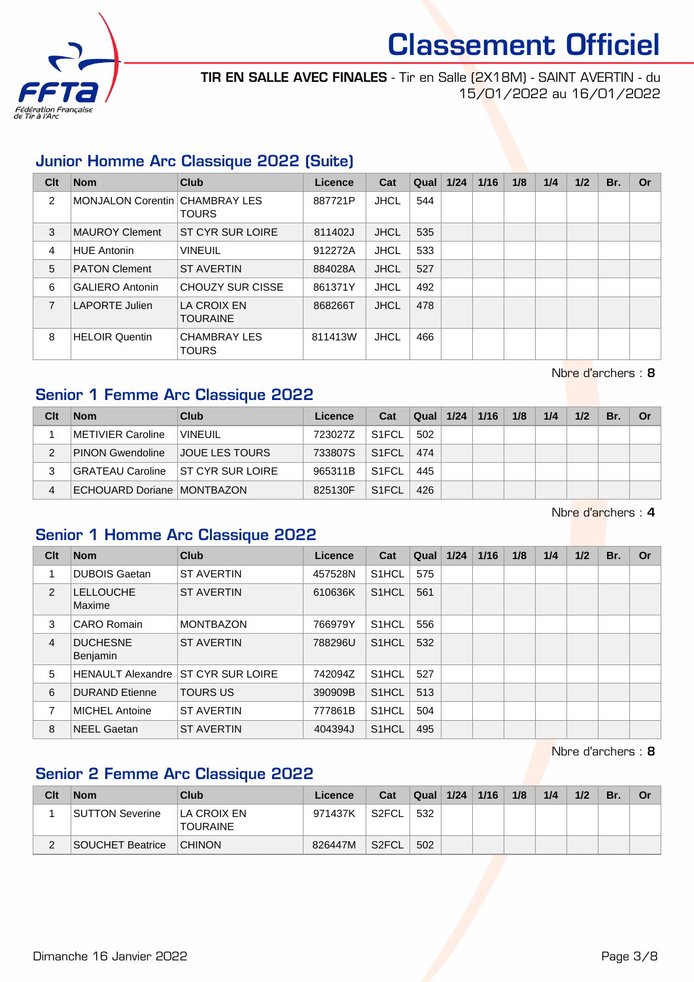

TIR EN SALLE AVEC FINALES - Tir en Salle (2X18M) - SAINT AVERTIN - du 15/01/2022 au 16/01/2022

#### Junior Homme Arc Classique 2022 (Suite)

| Clt | <b>Nom</b>                     | <b>Club</b>                         | Licence | Cat         | Qual | 1/24 | 1/16 | 1/8 | 1/4 | 1/2 | Br. | <b>Or</b> |
|-----|--------------------------------|-------------------------------------|---------|-------------|------|------|------|-----|-----|-----|-----|-----------|
| 2   | MONJALON Corentin CHAMBRAY LES | <b>TOURS</b>                        | 887721P | <b>JHCL</b> | 544  |      |      |     |     |     |     |           |
| 3   | MAUROY Clement                 | ST CYR SUR LOIRE                    | 811402J | <b>JHCL</b> | 535  |      |      |     |     |     |     |           |
| 4   | <b>HUE Antonin</b>             | <b>VINEUIL</b>                      | 912272A | <b>JHCL</b> | 533  |      |      |     |     |     |     |           |
| 5   | <b>PATON Clement</b>           | <b>ST AVERTIN</b>                   | 884028A | <b>JHCL</b> | 527  |      |      |     |     |     |     |           |
| 6   | <b>GALIERO Antonin</b>         | CHOUZY SUR CISSE                    | 861371Y | <b>JHCL</b> | 492  |      |      |     |     |     |     |           |
| 7   | LAPORTE Julien                 | LA CROIX EN<br><b>TOURAINE</b>      | 868266T | <b>JHCL</b> | 478  |      |      |     |     |     |     |           |
| 8   | <b>HELOIR Quentin</b>          | <b>CHAMBRAY LES</b><br><b>TOURS</b> | 811413W | <b>JHCL</b> | 466  |      |      |     |     |     |     |           |

#### Senior 1 Femme Arc Classique 2022

| Clt           | <b>Nom</b>                   | Club                     | Licence | Cat                | Qual | 1/24 | 1/16 | 1/8 | 1/4 | 1/2 | Br. | Or |
|---------------|------------------------------|--------------------------|---------|--------------------|------|------|------|-----|-----|-----|-----|----|
|               | METIVIER Caroline            | <b>VINEUIL</b>           | 723027Z | S <sub>1</sub> FCL | 502  |      |      |     |     |     |     |    |
| $\mathcal{P}$ | <b>PINON Gwendoline</b>      | <b>JOUE LES TOURS</b>    | 733807S | S <sub>1</sub> FCL | 474  |      |      |     |     |     |     |    |
|               | └GRATEAU Caroline            | <b>IST CYR SUR LOIRE</b> | 965311B | S <sub>1</sub> FCL | 445  |      |      |     |     |     |     |    |
| 4             | ECHOUARD Doriane   MONTBAZON |                          | 825130F | S <sub>1</sub> FCL | 426  |      |      |     |     |     |     |    |

Nbre d'archers : 4

Nbre d'archers : 8

#### Senior 1 Homme Arc Classique 2022

| Clt           | <b>Nom</b>                         | <b>Club</b>                               | <b>Licence</b> | Cat                | Qual | 1/24 | 1/16 | 1/8 | 1/4 | 1/2 | Br. | Or |
|---------------|------------------------------------|-------------------------------------------|----------------|--------------------|------|------|------|-----|-----|-----|-----|----|
|               | <b>DUBOIS Gaetan</b>               | <b>ST AVERTIN</b>                         | 457528N        | S <sub>1</sub> HCL | 575  |      |      |     |     |     |     |    |
| $\mathcal{P}$ | <b>LELLOUCHE</b><br>Maxime         | <b>ST AVERTIN</b>                         | 610636K        | S <sub>1</sub> HCL | 561  |      |      |     |     |     |     |    |
| 3             | <b>CARO Romain</b>                 | <b>MONTBAZON</b>                          | 766979Y        | S <sub>1</sub> HCL | 556  |      |      |     |     |     |     |    |
| 4             | <b>DUCHESNE</b><br><b>Benjamin</b> | <b>ST AVERTIN</b>                         | 788296U        | S <sub>1</sub> HCL | 532  |      |      |     |     |     |     |    |
| 5             |                                    | <b>HENAULT Alexandre ST CYR SUR LOIRE</b> | 742094Z        | S <sub>1</sub> HCL | 527  |      |      |     |     |     |     |    |
| 6             | <b>DURAND</b> Etienne              | <b>TOURS US</b>                           | 390909B        | S <sub>1</sub> HCL | 513  |      |      |     |     |     |     |    |
| 7             | <b>MICHEL Antoine</b>              | <b>ST AVERTIN</b>                         | 777861B        | S <sub>1</sub> HCL | 504  |      |      |     |     |     |     |    |
| 8             | <b>NEEL Gaetan</b>                 | <b>ST AVERTIN</b>                         | 404394J        | S <sub>1</sub> HCL | 495  |      |      |     |     |     |     |    |

Nbre d'archers : 8

#### Senior 2 Femme Arc Classique 2022

| Clt | <b>Nom</b>       | <b>Club</b>                           | Licence | Cat   | Qual | 1/24 | 1/16 | 1/8 | 1/4 | 1/2 | Br. | Or |
|-----|------------------|---------------------------------------|---------|-------|------|------|------|-----|-----|-----|-----|----|
|     | SUTTON Severine  | <b>LA CROIX EN</b><br><b>TOURAINE</b> | 971437K | S2FCL | 532  |      |      |     |     |     |     |    |
|     | SOUCHET Beatrice | <b>CHINON</b>                         | 826447M | S2FCL | 502  |      |      |     |     |     |     |    |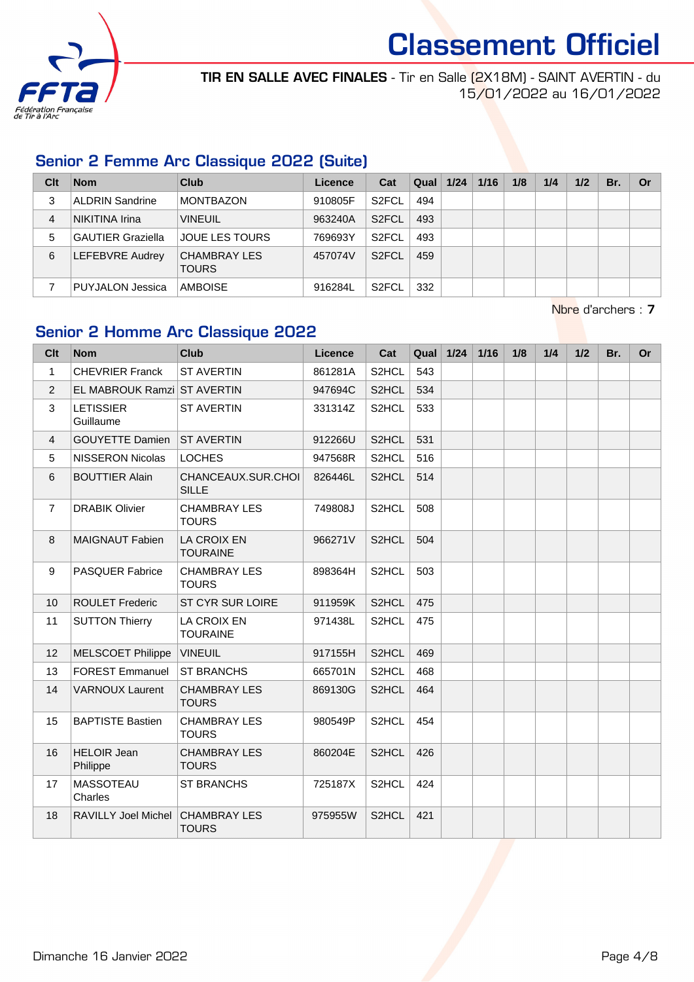

TIR EN SALLE AVEC FINALES - Tir en Salle (2X18M) - SAINT AVERTIN - du 15/01/2022 au 16/01/2022

#### Senior 2 Femme Arc Classique 2022 (Suite)

| Clt            | <b>Nom</b>               | Club                         | Licence | Cat                | Qual | 1/24 | 1/16 | 1/8 | 1/4 | 1/2 | Br. | Or |
|----------------|--------------------------|------------------------------|---------|--------------------|------|------|------|-----|-----|-----|-----|----|
| 3              | ALDRIN Sandrine          | <b>MONTBAZON</b>             | 910805F | S <sub>2</sub> FCL | 494  |      |      |     |     |     |     |    |
| $\overline{4}$ | NIKITINA Irina           | <b>VINEUIL</b>               | 963240A | S <sub>2</sub> FCL | 493  |      |      |     |     |     |     |    |
| 5              | <b>GAUTIER Graziella</b> | <b>JOUE LES TOURS</b>        | 769693Y | S <sub>2</sub> FCL | 493  |      |      |     |     |     |     |    |
| 6              | LEFEBVRE Audrey          | CHAMBRAY LES<br><b>TOURS</b> | 457074V | S <sub>2</sub> FCL | 459  |      |      |     |     |     |     |    |
|                | PUYJALON Jessica         | AMBOISE                      | 916284L | S <sub>2</sub> FCL | 332  |      |      |     |     |     |     |    |

Nbre d'archers : 7

#### Senior 2 Homme Arc Classique 2022

| Clt             | <b>Nom</b>                     | <b>Club</b>                           | Licence | Cat                | Qual | $1/24$ | $1/16$ | 1/8 | 1/4 | 1/2 | Br. | <b>Or</b> |
|-----------------|--------------------------------|---------------------------------------|---------|--------------------|------|--------|--------|-----|-----|-----|-----|-----------|
| $\mathbf{1}$    | <b>CHEVRIER Franck</b>         | <b>ST AVERTIN</b>                     | 861281A | S <sub>2</sub> HCL | 543  |        |        |     |     |     |     |           |
| $\overline{2}$  | EL MABROUK Ramzi ST AVERTIN    |                                       | 947694C | S <sub>2</sub> HCL | 534  |        |        |     |     |     |     |           |
| 3               | <b>LETISSIER</b><br>Guillaume  | <b>ST AVERTIN</b>                     | 331314Z | S2HCL              | 533  |        |        |     |     |     |     |           |
| $\overline{4}$  | <b>GOUYETTE Damien</b>         | <b>ST AVERTIN</b>                     | 912266U | S <sub>2</sub> HCL | 531  |        |        |     |     |     |     |           |
| 5               | <b>NISSERON Nicolas</b>        | <b>LOCHES</b>                         | 947568R | S2HCL              | 516  |        |        |     |     |     |     |           |
| 6               | <b>BOUTTIER Alain</b>          | CHANCEAUX.SUR.CHOI<br><b>SILLE</b>    | 826446L | S2HCL              | 514  |        |        |     |     |     |     |           |
| $\overline{7}$  | <b>DRABIK Olivier</b>          | <b>CHAMBRAY LES</b><br><b>TOURS</b>   | 749808J | S <sub>2</sub> HCL | 508  |        |        |     |     |     |     |           |
| 8               | <b>MAIGNAUT Fabien</b>         | <b>LA CROIX EN</b><br><b>TOURAINE</b> | 966271V | S2HCL              | 504  |        |        |     |     |     |     |           |
| 9               | <b>PASQUER Fabrice</b>         | <b>CHAMBRAY LES</b><br><b>TOURS</b>   | 898364H | S <sub>2</sub> HCL | 503  |        |        |     |     |     |     |           |
| 10 <sup>1</sup> | <b>ROULET Frederic</b>         | ST CYR SUR LOIRE                      | 911959K | S2HCL              | 475  |        |        |     |     |     |     |           |
| 11              | <b>SUTTON Thierry</b>          | <b>LA CROIX EN</b><br><b>TOURAINE</b> | 971438L | S2HCL              | 475  |        |        |     |     |     |     |           |
| 12              | <b>MELSCOET Philippe</b>       | <b>VINEUIL</b>                        | 917155H | S <sub>2</sub> HCL | 469  |        |        |     |     |     |     |           |
| 13              | <b>FOREST Emmanuel</b>         | <b>ST BRANCHS</b>                     | 665701N | S2HCL              | 468  |        |        |     |     |     |     |           |
| 14              | <b>VARNOUX Laurent</b>         | <b>CHAMBRAY LES</b><br><b>TOURS</b>   | 869130G | S2HCL              | 464  |        |        |     |     |     |     |           |
| 15              | <b>BAPTISTE Bastien</b>        | <b>CHAMBRAY LES</b><br><b>TOURS</b>   | 980549P | S2HCL              | 454  |        |        |     |     |     |     |           |
| 16              | <b>HELOIR Jean</b><br>Philippe | <b>CHAMBRAY LES</b><br><b>TOURS</b>   | 860204E | S2HCL              | 426  |        |        |     |     |     |     |           |
| 17              | MASSOTEAU<br>Charles           | <b>ST BRANCHS</b>                     | 725187X | S2HCL              | 424  |        |        |     |     |     |     |           |
| 18              | RAVILLY Joel Michel            | <b>CHAMBRAY LES</b><br><b>TOURS</b>   | 975955W | S2HCL              | 421  |        |        |     |     |     |     |           |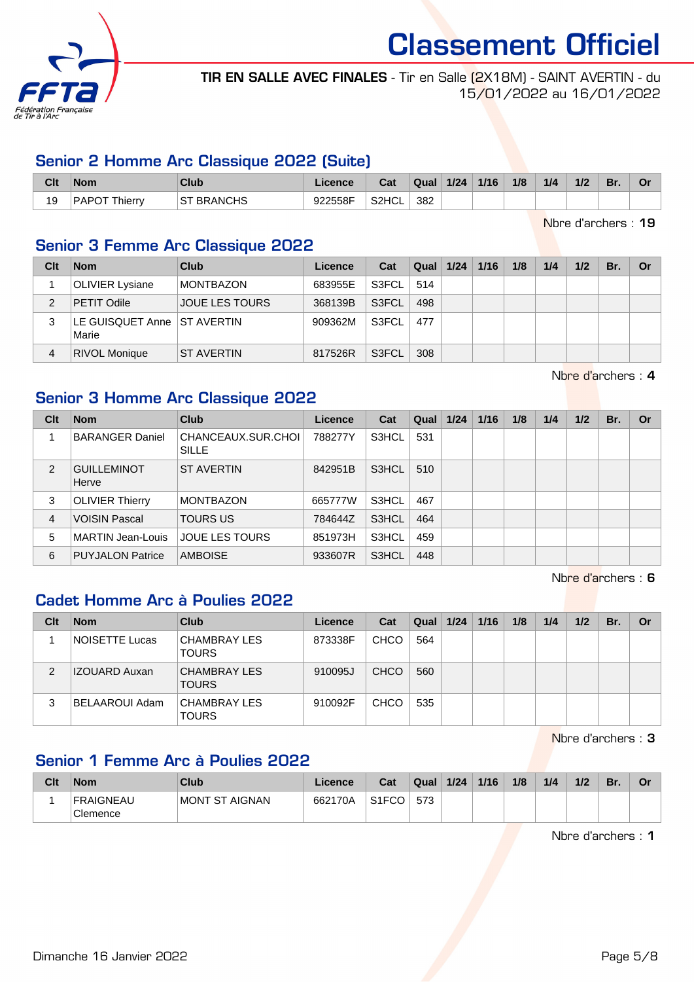

TIR EN SALLE AVEC FINALES - Tir en Salle (2X18M) - SAINT AVERTIN - du 15/01/2022 au 16/01/2022

#### Senior 2 Homme Arc Classique 2022 (Suite)

| Clt | <b>Nom</b>           | Club           | <b>licence</b> | Cat   | Qual | 1/24 | 1/16 | 1/8 | 1/4 | 1/2 | Br. | Or |
|-----|----------------------|----------------|----------------|-------|------|------|------|-----|-----|-----|-----|----|
| 19  | <b>PAPOT Thierry</b> | <b>BRANCHS</b> | 922558F        | S2HCL | 382  |      |      |     |     |     |     |    |

Nbre d'archers : 19

#### Senior 3 Femme Arc Classique 2022

| Clt | <b>Nom</b>                             | Club                  | Licence | Cat   | Qual $1/24$ | 1/16 | 1/8 | 1/4 | 1/2 | Br. | Or |
|-----|----------------------------------------|-----------------------|---------|-------|-------------|------|-----|-----|-----|-----|----|
|     | <b>OLIVIER Lysiane</b>                 | <b>MONTBAZON</b>      | 683955E | S3FCL | 514         |      |     |     |     |     |    |
| 2   | PETIT Odile                            | <b>JOUE LES TOURS</b> | 368139B | S3FCL | 498         |      |     |     |     |     |    |
|     | LE GUISQUET Anne   ST AVERTIN<br>Marie |                       | 909362M | S3FCL | 477         |      |     |     |     |     |    |
| 4   | <b>RIVOL Monique</b>                   | <b>ST AVERTIN</b>     | 817526R | S3FCL | 308         |      |     |     |     |     |    |

Nbre d'archers : 4

#### Senior 3 Homme Arc Classique 2022

| Clt           | <b>Nom</b>                  | Club                               | <b>Licence</b> | Cat   | Qual | 1/24 | 1/16 | 1/8 | 1/4 | 1/2 | Br. | Or |
|---------------|-----------------------------|------------------------------------|----------------|-------|------|------|------|-----|-----|-----|-----|----|
|               | <b>BARANGER Daniel</b>      | CHANCEAUX.SUR.CHOL<br><b>SILLE</b> | 788277Y        | S3HCL | 531  |      |      |     |     |     |     |    |
| $\mathcal{P}$ | <b>GUILLEMINOT</b><br>Herve | <b>ST AVERTIN</b>                  | 842951B        | S3HCL | 510  |      |      |     |     |     |     |    |
| 3             | <b>OLIVIER Thierry</b>      | <b>MONTBAZON</b>                   | 665777W        | S3HCL | 467  |      |      |     |     |     |     |    |
| 4             | <b>VOISIN Pascal</b>        | <b>TOURS US</b>                    | 784644Z        | S3HCL | 464  |      |      |     |     |     |     |    |
| 5             | <b>MARTIN Jean-Louis</b>    | JOUE LES TOURS                     | 851973H        | S3HCL | 459  |      |      |     |     |     |     |    |
| 6             | <b>PUYJALON Patrice</b>     | <b>AMBOISE</b>                     | 933607R        | S3HCL | 448  |      |      |     |     |     |     |    |

Nbre d'archers : 6

#### Cadet Homme Arc à Poulies 2022

| Clt | <b>Nom</b>           | Club                         | Licence | Cat         | Qual | 1/24 | 1/16 | 1/8 | 1/4 | 1/2 | Br. | Or |
|-----|----------------------|------------------------------|---------|-------------|------|------|------|-----|-----|-----|-----|----|
|     | NOISETTE Lucas       | CHAMBRAY LES<br><b>TOURS</b> | 873338F | CHCO        | 564  |      |      |     |     |     |     |    |
| 2   | <b>IZOUARD Auxan</b> | CHAMBRAY LES<br><b>TOURS</b> | 910095J | <b>CHCO</b> | 560  |      |      |     |     |     |     |    |
| 3   | BELAAROUI Adam       | CHAMBRAY LES<br><b>TOURS</b> | 910092F | CHCO        | 535  |      |      |     |     |     |     |    |

Nbre d'archers : 3

### Senior 1 Femme Arc à Poulies 2022

| Clt | <b>Nom</b>                   | Club            | ∟icence∶ | Cat                | Qual | 1/24 | 1/16 | 1/8 | 1/4 | 1/2 | Br. | Or |
|-----|------------------------------|-----------------|----------|--------------------|------|------|------|-----|-----|-----|-----|----|
|     | <b>FRAIGNEAU</b><br>Clemence | IMONT ST AIGNAN | 662170A  | S <sub>1</sub> FCO | 573  |      |      |     |     |     |     |    |

Nbre d'archers : 1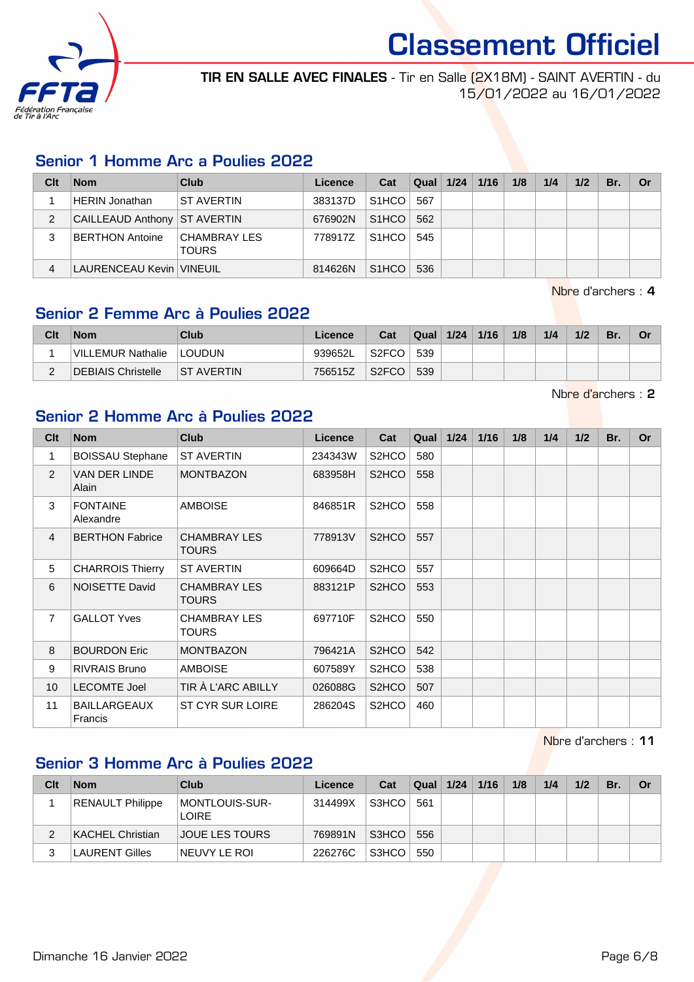

TIR EN SALLE AVEC FINALES - Tir en Salle (2X18M) - SAINT AVERTIN - du 15/01/2022 au 16/01/2022

#### Senior 1 Homme Arc a Poulies 2022

| Clt | <b>Nom</b>                   | Club                                | Licence | Cat                | $\vert$ Qual $\vert$ 1/24 $\vert$ | 1/16 | 1/8 | 1/4 | 1/2 | Br. | <b>Or</b> |
|-----|------------------------------|-------------------------------------|---------|--------------------|-----------------------------------|------|-----|-----|-----|-----|-----------|
|     | <b>HERIN Jonathan</b>        | <b>ST AVERTIN</b>                   | 383137D | S <sub>1</sub> HCO | 567                               |      |     |     |     |     |           |
| 2   | CAILLEAUD Anthony ST AVERTIN |                                     | 676902N | $SIHCO$ 562        |                                   |      |     |     |     |     |           |
| 3   | BERTHON Antoine              | <b>CHAMBRAY LES</b><br><b>TOURS</b> | 778917Z | $S1HCO$ 545        |                                   |      |     |     |     |     |           |
|     | LAURENCEAU Kevin   VINEUIL   |                                     | 814626N | S <sub>1</sub> HCO | 536                               |      |     |     |     |     |           |

Nbre d'archers : 4

#### Senior 2 Femme Arc à Poulies 2022

| Clt | <b>Nom</b>         | Club              | Licence | Cat                | Qual | 1/24 | 1/16 | 1/8 | 1/4 | 1/2 | Br. | Or |
|-----|--------------------|-------------------|---------|--------------------|------|------|------|-----|-----|-----|-----|----|
|     | VILLEMUR Nathalie  | <b>LOUDUN</b>     | 939652L | S <sub>2</sub> FCC | 539  |      |      |     |     |     |     |    |
| -   | DEBIAIS Christelle | <b>ST AVERTIN</b> | 756515Z | S <sub>2</sub> FCO | 539  |      |      |     |     |     |     |    |

Nbre d'archers : 2

#### Senior 2 Homme Arc à Poulies 2022

| Clt             | <b>Nom</b>                     | <b>Club</b>                         | Licence | Cat                | Qual | 1/24 | 1/16 | 1/8 | 1/4 | 1/2 | Br. | <b>Or</b> |
|-----------------|--------------------------------|-------------------------------------|---------|--------------------|------|------|------|-----|-----|-----|-----|-----------|
| 1               | <b>BOISSAU Stephane</b>        | <b>ST AVERTIN</b>                   | 234343W | S2HCO              | 580  |      |      |     |     |     |     |           |
| 2               | VAN DER LINDE<br>Alain         | <b>MONTBAZON</b>                    | 683958H | S <sub>2</sub> HCO | 558  |      |      |     |     |     |     |           |
| 3               | <b>FONTAINE</b><br>Alexandre   | <b>AMBOISE</b>                      | 846851R | S <sub>2</sub> HCO | 558  |      |      |     |     |     |     |           |
| 4               | <b>BERTHON Fabrice</b>         | <b>CHAMBRAY LES</b><br><b>TOURS</b> | 778913V | S <sub>2</sub> HCO | 557  |      |      |     |     |     |     |           |
| 5               | <b>CHARROIS Thierry</b>        | <b>ST AVERTIN</b>                   | 609664D | S <sub>2</sub> HCO | 557  |      |      |     |     |     |     |           |
| 6               | NOISETTE David                 | <b>CHAMBRAY LES</b><br><b>TOURS</b> | 883121P | S <sub>2</sub> HCO | 553  |      |      |     |     |     |     |           |
| $\overline{7}$  | <b>GALLOT Yves</b>             | <b>CHAMBRAY LES</b><br><b>TOURS</b> | 697710F | S <sub>2</sub> HCO | 550  |      |      |     |     |     |     |           |
| 8               | <b>BOURDON Eric</b>            | <b>MONTBAZON</b>                    | 796421A | S <sub>2</sub> HCO | 542  |      |      |     |     |     |     |           |
| 9               | <b>RIVRAIS Bruno</b>           | <b>AMBOISE</b>                      | 607589Y | S2HCO              | 538  |      |      |     |     |     |     |           |
| 10 <sup>°</sup> | <b>LECOMTE Joel</b>            | TIR À L'ARC ABILLY                  | 026088G | S <sub>2</sub> HCO | 507  |      |      |     |     |     |     |           |
| 11              | <b>BAILLARGEAUX</b><br>Francis | <b>ST CYR SUR LOIRE</b>             | 286204S | S <sub>2</sub> HCO | 460  |      |      |     |     |     |     |           |

Nbre d'archers : 11

#### Senior 3 Homme Arc à Poulies 2022

| Clt | <b>Nom</b>              | Club                                   | Licence | Cat   | Qual | 1/24 | 1/16 | 1/8 | 1/4 | 1/2 | Br. | Or |
|-----|-------------------------|----------------------------------------|---------|-------|------|------|------|-----|-----|-----|-----|----|
|     | <b>RENAULT Philippe</b> | <b>IMONTLOUIS-SUR-</b><br><b>LOIRE</b> | 314499X | S3HCO | 561  |      |      |     |     |     |     |    |
|     | KACHEL Christian        | <b>JOUE LES TOURS</b>                  | 769891N | S3HCO | 556  |      |      |     |     |     |     |    |
|     | <b>LAURENT Gilles</b>   | NEUVY LE ROI                           | 226276C | S3HCO | 550  |      |      |     |     |     |     |    |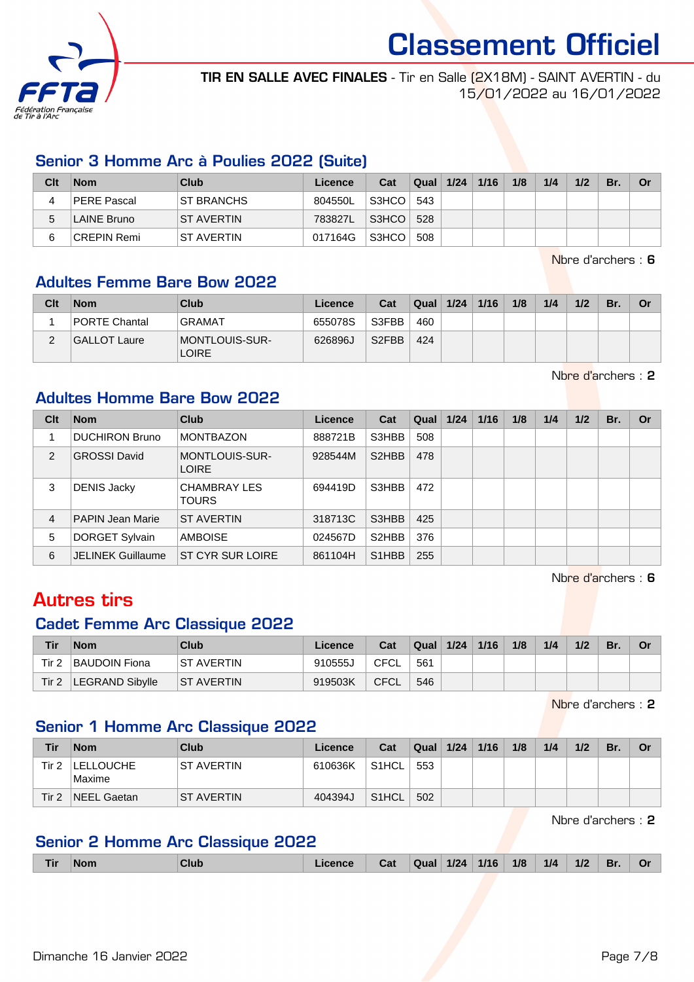

TIR EN SALLE AVEC FINALES - Tir en Salle (2X18M) - SAINT AVERTIN - du 15/01/2022 au 16/01/2022

#### Senior 3 Homme Arc à Poulies 2022 (Suite)

| Clt | <b>Nom</b>  | Club              | Licence | Cat   | <b>Qual</b> | 1/24 | 1/16 | 1/8 | 1/4 | 1/2 | Br. | Or |
|-----|-------------|-------------------|---------|-------|-------------|------|------|-----|-----|-----|-----|----|
|     | PERE Pascal | <b>ST BRANCHS</b> | 804550L | S3HCO | 543         |      |      |     |     |     |     |    |
| 5   | LAINE Bruno | <b>ST AVERTIN</b> | 783827L | S3HCO | 528         |      |      |     |     |     |     |    |
| 6   | CREPIN Remi | <b>ST AVERTIN</b> | 017164G | S3HCO | 508         |      |      |     |     |     |     |    |

Nbre d'archers : 6

#### Adultes Femme Bare Bow 2022

| Clt | <b>Nom</b>           | Club                                  | Licence | Cat                | Qual | 1/24 | 1/16 | 1/8 | 1/4 | 1/2 | Br. | Or |
|-----|----------------------|---------------------------------------|---------|--------------------|------|------|------|-----|-----|-----|-----|----|
|     | <b>PORTE Chantal</b> | <b>GRAMAT</b>                         | 655078S | S3FBB              | 460  |      |      |     |     |     |     |    |
|     | GALLOT Laure         | <b>MONTLOUIS-SUR-</b><br><b>LOIRE</b> | 626896J | S <sub>2</sub> FBB | 424  |      |      |     |     |     |     |    |

Nbre d'archers : 2

#### Adultes Homme Bare Bow 2022

| Clt            | <b>Nom</b>               | <b>Club</b>                         | Licence | Cat                             | Qual | 1/24 | 1/16 | 1/8 | 1/4 | 1/2 | Br. | Or |
|----------------|--------------------------|-------------------------------------|---------|---------------------------------|------|------|------|-----|-----|-----|-----|----|
|                | <b>DUCHIRON Bruno</b>    | <b>MONTBAZON</b>                    | 888721B | S3HBB                           | 508  |      |      |     |     |     |     |    |
| $\mathcal{P}$  | <b>GROSSI David</b>      | MONTLOUIS-SUR-<br><b>LOIRE</b>      | 928544M | S <sub>2</sub> HBB              | 478  |      |      |     |     |     |     |    |
| 3              | <b>DENIS Jacky</b>       | <b>CHAMBRAY LES</b><br><b>TOURS</b> | 694419D | S3HBB                           | 472  |      |      |     |     |     |     |    |
| $\overline{4}$ | <b>PAPIN Jean Marie</b>  | <b>ST AVERTIN</b>                   | 318713C | S3HBB                           | 425  |      |      |     |     |     |     |    |
| 5              | DORGET Sylvain           | <b>AMBOISE</b>                      | 024567D | S <sub>2</sub> HBB              | 376  |      |      |     |     |     |     |    |
| 6              | <b>JELINEK Guillaume</b> | ST CYR SUR LOIRE                    | 861104H | S <sub>1</sub> H <sub>B</sub> B | 255  |      |      |     |     |     |     |    |

Nbre d'archers : 6

### Autres tirs

### Cadet Femme Arc Classique 2022

| Tir   | <b>Nom</b>           | Club              | Licence | Cat  | Qual | 1/24 | 1/16 | 1/8 | 1/4 | 1/2 | 'Br. |  |
|-------|----------------------|-------------------|---------|------|------|------|------|-----|-----|-----|------|--|
| Tir 2 | <b>BAUDOIN Fiona</b> | IST AVERTIN       | 910555J | CFCL | 561  |      |      |     |     |     |      |  |
| Tir 2 | LEGRAND Sibylle      | <b>ST AVERTIN</b> | 919503K | CFCL | 546  |      |      |     |     |     |      |  |

Nbre d'archers : 2

#### Senior 1 Homme Arc Classique 2022

| Tir              | <b>Nom</b>                 | Club               | Licence | Cat                | Qual | 1/24 | 1/16 | 1/8 | 1/4 | 1/2 | Br. | . Or |
|------------------|----------------------------|--------------------|---------|--------------------|------|------|------|-----|-----|-----|-----|------|
| Tir 2            | <b>LELLOUCHE</b><br>Maxime | IST AVERTIN        | 610636K | S1HCL              | 553  |      |      |     |     |     |     |      |
| Tir <sub>2</sub> | NEEL Gaetan                | <b>IST AVERTIN</b> | 404394J | S <sub>1</sub> HCL | 502  |      |      |     |     |     |     |      |

Nbre d'archers : 2

#### Senior 2 Homme Arc Classique 2022

| <b>Tir</b> | <b>Nom</b> | Club | ∟icence | Cat | Qual 1/24 1/16 |  |  | 1/8 | 1/4 | $1/2$ | Br. | Or |
|------------|------------|------|---------|-----|----------------|--|--|-----|-----|-------|-----|----|
|------------|------------|------|---------|-----|----------------|--|--|-----|-----|-------|-----|----|